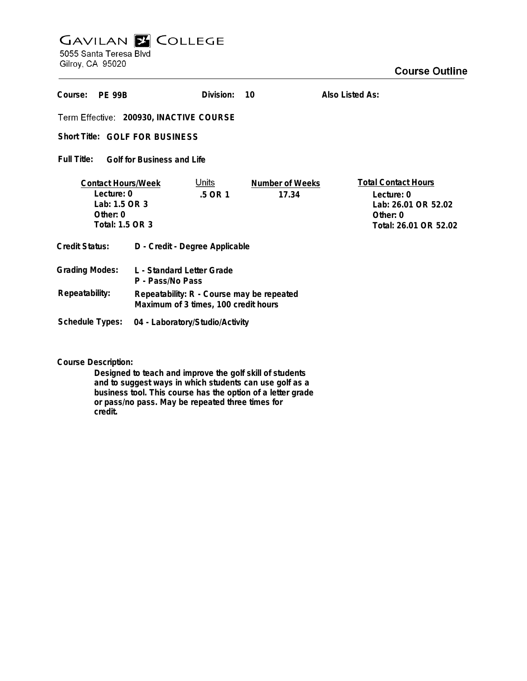## **GAVILAN E COLLEGE** 5055 Santa Teresa Blvd

Gilroy, CA 95020

| Course:<br><b>PF 99R</b>                                                                  |                                                                                   | Division:               | 10                       | Also Listed As:                                                                                      |  |
|-------------------------------------------------------------------------------------------|-----------------------------------------------------------------------------------|-------------------------|--------------------------|------------------------------------------------------------------------------------------------------|--|
| Term Effective: 200930, INACTIVE COURSE                                                   |                                                                                   |                         |                          |                                                                                                      |  |
| Short Title: GOLF FOR BUSINESS                                                            |                                                                                   |                         |                          |                                                                                                      |  |
| Full Title:<br><b>Golf for Business and Life</b>                                          |                                                                                   |                         |                          |                                                                                                      |  |
| <b>Contact Hours/Week</b><br>Lecture: 0<br>Lab: 1.5 OR 3<br>Other: $0$<br>Total: 1.5 OR 3 |                                                                                   | <u>Units</u><br>.5 OR 1 | Number of Weeks<br>17.34 | <b>Total Contact Hours</b><br>Lecture: 0<br>Lab: 26.01 OR 52.02<br>Other: 0<br>Total: 26.01 OR 52.02 |  |
| <b>Credit Status:</b>                                                                     | D - Credit - Degree Applicable                                                    |                         |                          |                                                                                                      |  |
| <b>Grading Modes:</b>                                                                     | L - Standard Letter Grade<br>P - Pass/No Pass                                     |                         |                          |                                                                                                      |  |
| Repeatability:                                                                            | Repeatability: R - Course may be repeated<br>Maximum of 3 times, 100 credit hours |                         |                          |                                                                                                      |  |
| <b>Schedule Types:</b>                                                                    | 04 - Laboratory/Studio/Activity                                                   |                         |                          |                                                                                                      |  |

**Course Description:**

**Designed to teach and improve the golf skill of students and to suggest ways in which students can use golf as a business tool. This course has the option of a letter grade or pass/no pass. May be repeated three times for credit.**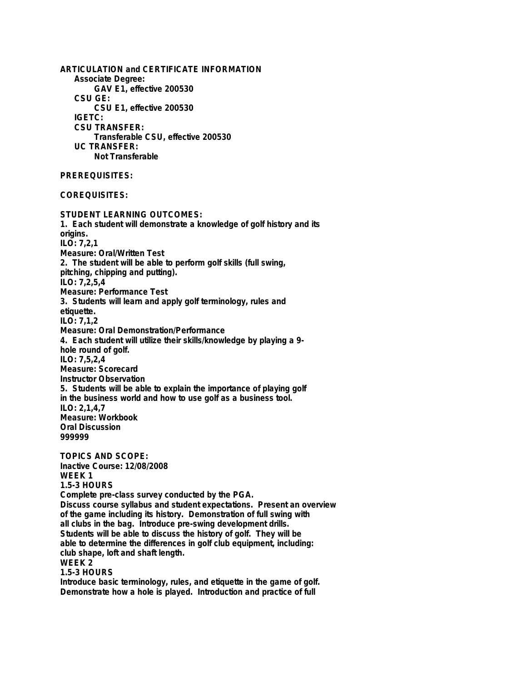**ARTICULATION and CERTIFICATE INFORMATION Associate Degree: GAV E1, effective 200530 CSU GE: CSU E1, effective 200530 IGETC: CSU TRANSFER: Transferable CSU, effective 200530 UC TRANSFER: Not Transferable PREREQUISITES: COREQUISITES: STUDENT LEARNING OUTCOMES: 1. Each student will demonstrate a knowledge of golf history and its origins. ILO: 7,2,1 Measure: Oral/Written Test 2. The student will be able to perform golf skills (full swing, pitching, chipping and putting). ILO: 7,2,5,4 Measure: Performance Test 3. Students will learn and apply golf terminology, rules and etiquette. ILO: 7,1,2 Measure: Oral Demonstration/Performance 4. Each student will utilize their skills/knowledge by playing a 9 hole round of golf. ILO: 7,5,2,4 Measure: Scorecard Instructor Observation 5. Students will be able to explain the importance of playing golf in the business world and how to use golf as a business tool. ILO: 2,1,4,7 Measure: Workbook Oral Discussion 999999 TOPICS AND SCOPE: Inactive Course: 12/08/2008 WEEK 1 1.5-3 HOURS Complete pre-class survey conducted by the PGA. Discuss course syllabus and student expectations. Present an overview of the game including its history. Demonstration of full swing with all clubs in the bag. Introduce pre-swing development drills. Students will be able to discuss the history of golf. They will be able to determine the differences in golf club equipment, including: club shape, loft and shaft length. WEEK 2 1.5-3 HOURS Introduce basic terminology, rules, and etiquette in the game of golf. Demonstrate how a hole is played. Introduction and practice of full**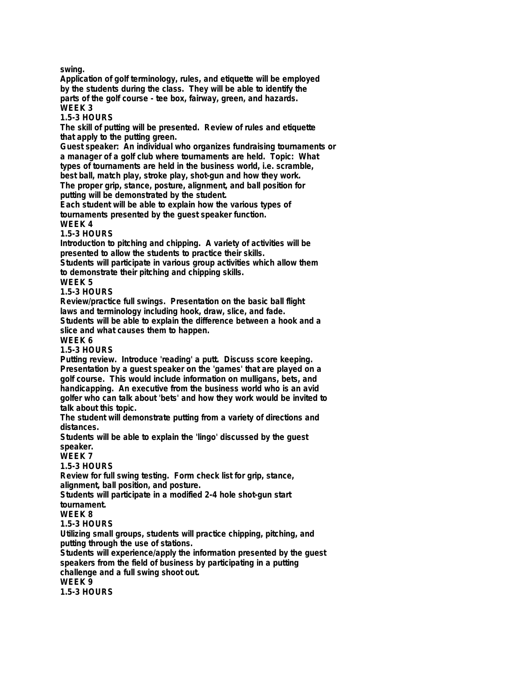**swing.**

**Application of golf terminology, rules, and etiquette will be employed by the students during the class. They will be able to identify the parts of the golf course - tee box, fairway, green, and hazards. WEEK 3**

**1.5-3 HOURS**

**The skill of putting will be presented. Review of rules and etiquette that apply to the putting green.**

**Guest speaker: An individual who organizes fundraising tournaments or a manager of a golf club where tournaments are held. Topic: What types of tournaments are held in the business world, i.e. scramble, best ball, match play, stroke play, shot-gun and how they work. The proper grip, stance, posture, alignment, and ball position for**

**putting will be demonstrated by the student. Each student will be able to explain how the various types of tournaments presented by the guest speaker function.**

**WEEK 4**

**1.5-3 HOURS**

**Introduction to pitching and chipping. A variety of activities will be presented to allow the students to practice their skills.**

**Students will participate in various group activities which allow them to demonstrate their pitching and chipping skills.**

**WEEK 5**

**1.5-3 HOURS**

**Review/practice full swings. Presentation on the basic ball flight laws and terminology including hook, draw, slice, and fade. Students will be able to explain the difference between a hook and a**

**slice and what causes them to happen.**

**WEEK 6**

**1.5-3 HOURS**

**Putting review. Introduce 'reading' a putt. Discuss score keeping. Presentation by a guest speaker on the 'games' that are played on a golf course. This would include information on mulligans, bets, and handicapping. An executive from the business world who is an avid golfer who can talk about 'bets' and how they work would be invited to talk about this topic.**

**The student will demonstrate putting from a variety of directions and distances.**

**Students will be able to explain the 'lingo' discussed by the guest speaker.**

**WEEK 7**

**1.5-3 HOURS**

**Review for full swing testing. Form check list for grip, stance, alignment, ball position, and posture.**

**Students will participate in a modified 2-4 hole shot-gun start tournament.**

**WEEK 8**

**1.5-3 HOURS**

**Utilizing small groups, students will practice chipping, pitching, and putting through the use of stations.**

**Students will experience/apply the information presented by the guest speakers from the field of business by participating in a putting challenge and a full swing shoot out. WEEK 9**

**1.5-3 HOURS**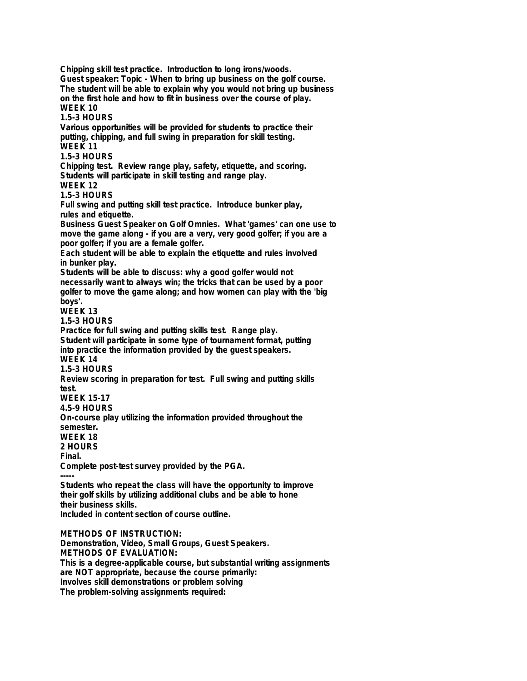**Chipping skill test practice. Introduction to long irons/woods. Guest speaker: Topic - When to bring up business on the golf course. The student will be able to explain why you would not bring up business on the first hole and how to fit in business over the course of play. WEEK 10 1.5-3 HOURS Various opportunities will be provided for students to practice their putting, chipping, and full swing in preparation for skill testing. WEEK 11 1.5-3 HOURS Chipping test. Review range play, safety, etiquette, and scoring. Students will participate in skill testing and range play. WEEK 12 1.5-3 HOURS Full swing and putting skill test practice. Introduce bunker play, rules and etiquette. Business Guest Speaker on Golf Omnies. What 'games' can one use to move the game along - if you are a very, very good golfer; if you are a poor golfer; if you are a female golfer. Each student will be able to explain the etiquette and rules involved in bunker play. Students will be able to discuss: why a good golfer would not necessarily want to always win; the tricks that can be used by a poor golfer to move the game along; and how women can play with the 'big boys'. WEEK 13 1.5-3 HOURS Practice for full swing and putting skills test. Range play. Student will participate in some type of tournament format, putting into practice the information provided by the guest speakers. WEEK 14 1.5-3 HOURS Review scoring in preparation for test. Full swing and putting skills test. WEEK 15-17 4.5-9 HOURS On-course play utilizing the information provided throughout the semester. WEEK 18 2 HOURS Final. Complete post-test survey provided by the PGA. ----- Students who repeat the class will have the opportunity to improve their golf skills by utilizing additional clubs and be able to hone their business skills. Included in content section of course outline. METHODS OF INSTRUCTION: Demonstration, Video, Small Groups, Guest Speakers. METHODS OF EVALUATION: This is a degree-applicable course, but substantial writing assignments are NOT appropriate, because the course primarily:**

**Involves skill demonstrations or problem solving**

**The problem-solving assignments required:**